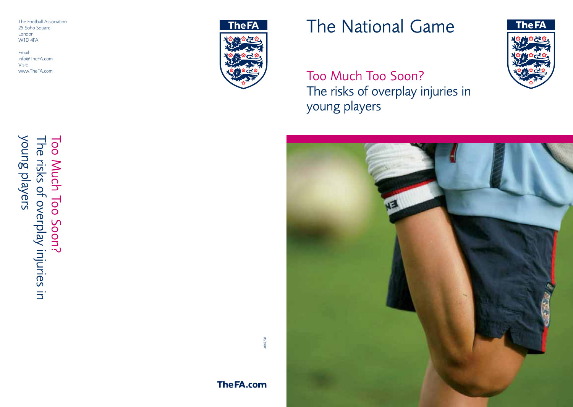The Football Association 25 Soho Square London W1D 4FA

Email: info@TheFA.com Visit: www.TheFA.com



# The National Game

Too Much Too Soon? The risks of overplay injuries in young players





Too Much Too Soon?<br>The risks of overplay injuries in<br>young players young players The risks of overplay injuries in Too Much Too Soon?